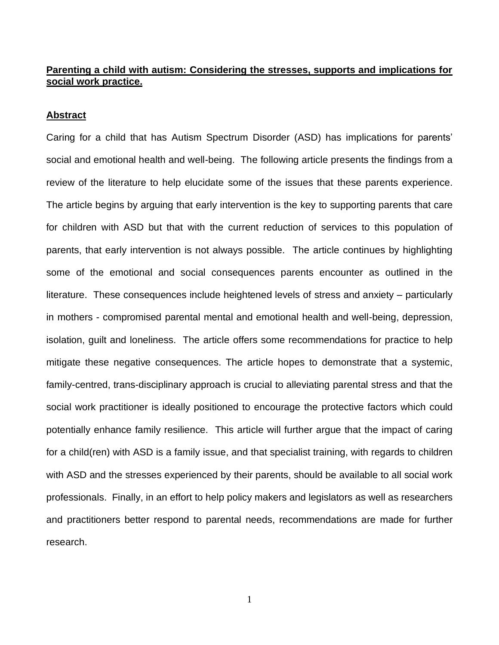# **Parenting a child with autism: Considering the stresses, supports and implications for social work practice.**

### **Abstract**

Caring for a child that has Autism Spectrum Disorder (ASD) has implications for parents' social and emotional health and well-being. The following article presents the findings from a review of the literature to help elucidate some of the issues that these parents experience. The article begins by arguing that early intervention is the key to supporting parents that care for children with ASD but that with the current reduction of services to this population of parents, that early intervention is not always possible. The article continues by highlighting some of the emotional and social consequences parents encounter as outlined in the literature. These consequences include heightened levels of stress and anxiety – particularly in mothers - compromised parental mental and emotional health and well-being, depression, isolation, guilt and loneliness. The article offers some recommendations for practice to help mitigate these negative consequences. The article hopes to demonstrate that a systemic, family-centred, trans-disciplinary approach is crucial to alleviating parental stress and that the social work practitioner is ideally positioned to encourage the protective factors which could potentially enhance family resilience. This article will further argue that the impact of caring for a child(ren) with ASD is a family issue, and that specialist training, with regards to children with ASD and the stresses experienced by their parents, should be available to all social work professionals. Finally, in an effort to help policy makers and legislators as well as researchers and practitioners better respond to parental needs, recommendations are made for further research.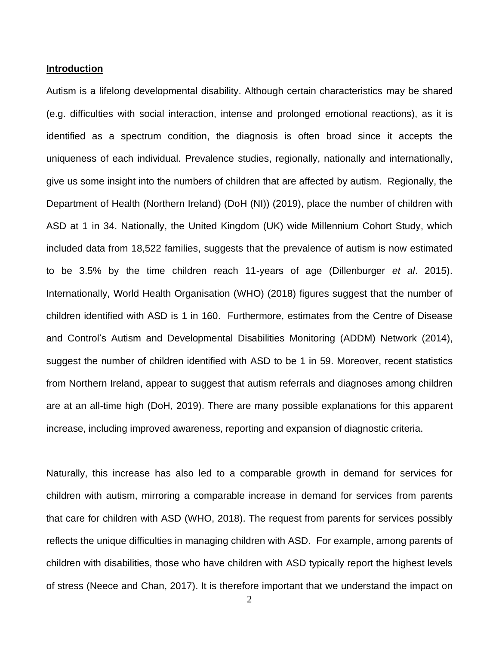### **Introduction**

Autism is a lifelong developmental disability. Although certain characteristics may be shared (e.g. difficulties with social interaction, intense and prolonged emotional reactions), as it is identified as a spectrum condition, the diagnosis is often broad since it accepts the uniqueness of each individual. Prevalence studies, regionally, nationally and internationally, give us some insight into the numbers of children that are affected by autism. Regionally, the Department of Health (Northern Ireland) (DoH (NI)) (2019), place the number of children with ASD at 1 in 34. Nationally, the United Kingdom (UK) wide Millennium Cohort Study, which included data from 18,522 families, suggests that the prevalence of autism is now estimated to be 3.5% by the time children reach 11-years of age (Dillenburger *et al*. 2015). Internationally, World Health Organisation (WHO) (2018) figures suggest that the number of children identified with ASD is 1 in 160. Furthermore, estimates from the Centre of Disease and Control's Autism and Developmental Disabilities Monitoring (ADDM) Network (2014), suggest the number of children identified with ASD to be 1 in 59. Moreover, recent statistics from Northern Ireland, appear to suggest that autism referrals and diagnoses among children are at an all-time high (DoH, 2019). There are many possible explanations for this apparent increase, including improved awareness, reporting and expansion of diagnostic criteria.

Naturally, this increase has also led to a comparable growth in demand for services for children with autism, mirroring a comparable increase in demand for services from parents that care for children with ASD (WHO, 2018). The request from parents for services possibly reflects the unique difficulties in managing children with ASD. For example, among parents of children with disabilities, those who have children with ASD typically report the highest levels of stress (Neece and Chan, 2017). It is therefore important that we understand the impact on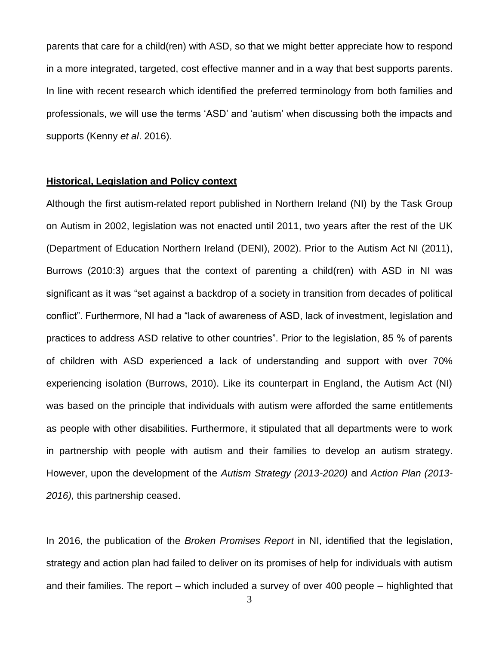parents that care for a child(ren) with ASD, so that we might better appreciate how to respond in a more integrated, targeted, cost effective manner and in a way that best supports parents. In line with recent research which identified the preferred terminology from both families and professionals, we will use the terms 'ASD' and 'autism' when discussing both the impacts and supports (Kenny *et al*. 2016).

### **Historical, Legislation and Policy context**

Although the first autism-related report published in Northern Ireland (NI) by the Task Group on Autism in 2002, legislation was not enacted until 2011, two years after the rest of the UK (Department of Education Northern Ireland (DENI), 2002). Prior to the Autism Act NI (2011), Burrows (2010:3) argues that the context of parenting a child(ren) with ASD in NI was significant as it was "set against a backdrop of a society in transition from decades of political conflict". Furthermore, NI had a "lack of awareness of ASD, lack of investment, legislation and practices to address ASD relative to other countries". Prior to the legislation, 85 % of parents of children with ASD experienced a lack of understanding and support with over 70% experiencing isolation (Burrows, 2010). Like its counterpart in England, the Autism Act (NI) was based on the principle that individuals with autism were afforded the same entitlements as people with other disabilities. Furthermore, it stipulated that all departments were to work in partnership with people with autism and their families to develop an autism strategy. However, upon the development of the *Autism Strategy (2013-2020)* and *Action Plan (2013- 2016),* this partnership ceased.

In 2016, the publication of the *Broken Promises Report* in NI, identified that the legislation, strategy and action plan had failed to deliver on its promises of help for individuals with autism and their families. The report – which included a survey of over 400 people – highlighted that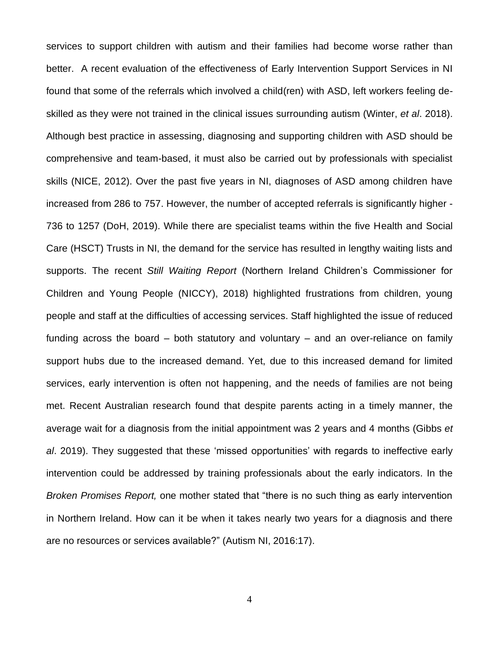services to support children with autism and their families had become worse rather than better. A recent evaluation of the effectiveness of Early Intervention Support Services in NI found that some of the referrals which involved a child(ren) with ASD, left workers feeling deskilled as they were not trained in the clinical issues surrounding autism (Winter, *et al*. 2018). Although best practice in assessing, diagnosing and supporting children with ASD should be comprehensive and team-based, it must also be carried out by professionals with specialist skills (NICE, 2012). Over the past five years in NI, diagnoses of ASD among children have increased from 286 to 757. However, the number of accepted referrals is significantly higher - 736 to 1257 (DoH, 2019). While there are specialist teams within the five Health and Social Care (HSCT) Trusts in NI, the demand for the service has resulted in lengthy waiting lists and supports. The recent *Still Waiting Report* (Northern Ireland Children's Commissioner for Children and Young People (NICCY), 2018) highlighted frustrations from children, young people and staff at the difficulties of accessing services. Staff highlighted the issue of reduced funding across the board – both statutory and voluntary – and an over-reliance on family support hubs due to the increased demand. Yet, due to this increased demand for limited services, early intervention is often not happening, and the needs of families are not being met. Recent Australian research found that despite parents acting in a timely manner, the average wait for a diagnosis from the initial appointment was 2 years and 4 months (Gibbs *et al*. 2019). They suggested that these 'missed opportunities' with regards to ineffective early intervention could be addressed by training professionals about the early indicators. In the *Broken Promises Report,* one mother stated that "there is no such thing as early intervention in Northern Ireland. How can it be when it takes nearly two years for a diagnosis and there are no resources or services available?" (Autism NI, 2016:17).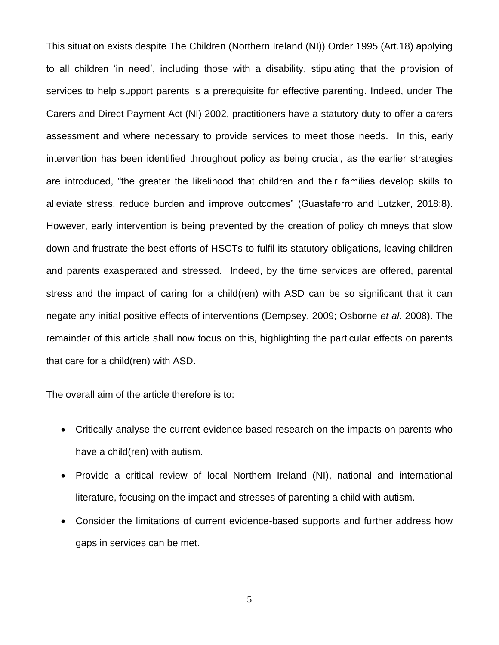This situation exists despite The Children (Northern Ireland (NI)) Order 1995 (Art.18) applying to all children 'in need', including those with a disability, stipulating that the provision of services to help support parents is a prerequisite for effective parenting. Indeed, under The Carers and Direct Payment Act (NI) 2002, practitioners have a statutory duty to offer a carers assessment and where necessary to provide services to meet those needs. In this, early intervention has been identified throughout policy as being crucial, as the earlier strategies are introduced, "the greater the likelihood that children and their families develop skills to alleviate stress, reduce burden and improve outcomes" (Guastaferro and Lutzker, 2018:8). However, early intervention is being prevented by the creation of policy chimneys that slow down and frustrate the best efforts of HSCTs to fulfil its statutory obligations, leaving children and parents exasperated and stressed. Indeed, by the time services are offered, parental stress and the impact of caring for a child(ren) with ASD can be so significant that it can negate any initial positive effects of interventions (Dempsey, 2009; Osborne *et al*. 2008). The remainder of this article shall now focus on this, highlighting the particular effects on parents that care for a child(ren) with ASD.

The overall aim of the article therefore is to:

- Critically analyse the current evidence-based research on the impacts on parents who have a child(ren) with autism.
- Provide a critical review of local Northern Ireland (NI), national and international literature, focusing on the impact and stresses of parenting a child with autism.
- Consider the limitations of current evidence-based supports and further address how gaps in services can be met.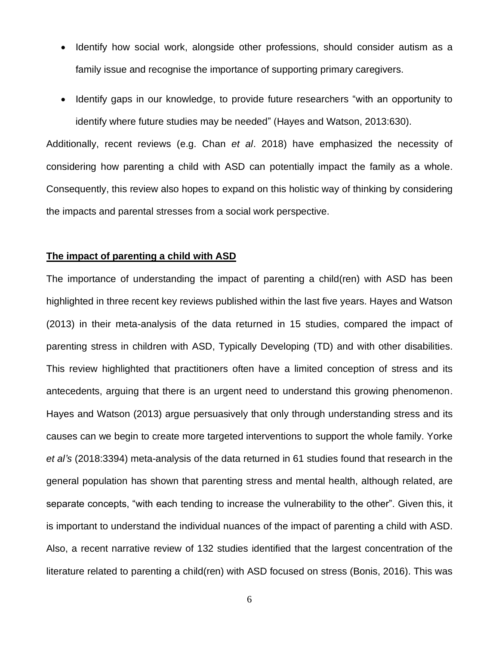- Identify how social work, alongside other professions, should consider autism as a family issue and recognise the importance of supporting primary caregivers.
- Identify gaps in our knowledge, to provide future researchers "with an opportunity to identify where future studies may be needed" (Hayes and Watson, 2013:630).

Additionally, recent reviews (e.g. Chan *et al*. 2018) have emphasized the necessity of considering how parenting a child with ASD can potentially impact the family as a whole. Consequently, this review also hopes to expand on this holistic way of thinking by considering the impacts and parental stresses from a social work perspective.

# **The impact of parenting a child with ASD**

The importance of understanding the impact of parenting a child(ren) with ASD has been highlighted in three recent key reviews published within the last five years. Hayes and Watson (2013) in their meta-analysis of the data returned in 15 studies, compared the impact of parenting stress in children with ASD, Typically Developing (TD) and with other disabilities. This review highlighted that practitioners often have a limited conception of stress and its antecedents, arguing that there is an urgent need to understand this growing phenomenon. Hayes and Watson (2013) argue persuasively that only through understanding stress and its causes can we begin to create more targeted interventions to support the whole family. Yorke *et al's* (2018:3394) meta-analysis of the data returned in 61 studies found that research in the general population has shown that parenting stress and mental health, although related, are separate concepts, "with each tending to increase the vulnerability to the other". Given this, it is important to understand the individual nuances of the impact of parenting a child with ASD. Also, a recent narrative review of 132 studies identified that the largest concentration of the literature related to parenting a child(ren) with ASD focused on stress (Bonis, 2016). This was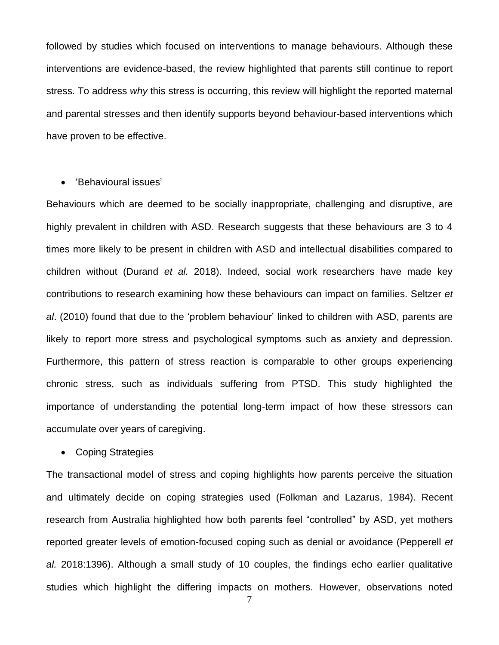followed by studies which focused on interventions to manage behaviours. Although these interventions are evidence-based, the review highlighted that parents still continue to report stress. To address *why* this stress is occurring, this review will highlight the reported maternal and parental stresses and then identify supports beyond behaviour-based interventions which have proven to be effective.

# • 'Behavioural issues'

Behaviours which are deemed to be socially inappropriate, challenging and disruptive, are highly prevalent in children with ASD. Research suggests that these behaviours are 3 to 4 times more likely to be present in children with ASD and intellectual disabilities compared to children without (Durand *et al.* 2018). Indeed, social work researchers have made key contributions to research examining how these behaviours can impact on families. Seltzer *et al*. (2010) found that due to the 'problem behaviour' linked to children with ASD, parents are likely to report more stress and psychological symptoms such as anxiety and depression. Furthermore, this pattern of stress reaction is comparable to other groups experiencing chronic stress, such as individuals suffering from PTSD. This study highlighted the importance of understanding the potential long-term impact of how these stressors can accumulate over years of caregiving.

• Coping Strategies

The transactional model of stress and coping highlights how parents perceive the situation and ultimately decide on coping strategies used (Folkman and Lazarus, 1984). Recent research from Australia highlighted how both parents feel "controlled" by ASD, yet mothers reported greater levels of emotion-focused coping such as denial or avoidance (Pepperell *et al.* 2018:1396). Although a small study of 10 couples, the findings echo earlier qualitative studies which highlight the differing impacts on mothers. However, observations noted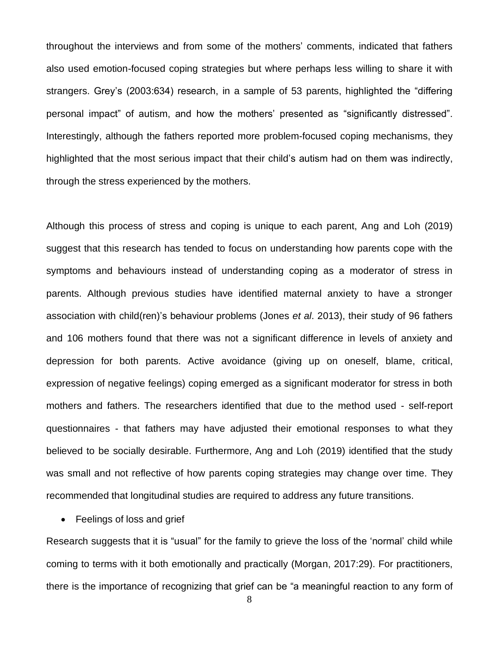throughout the interviews and from some of the mothers' comments, indicated that fathers also used emotion-focused coping strategies but where perhaps less willing to share it with strangers. Grey's (2003:634) research, in a sample of 53 parents, highlighted the "differing personal impact" of autism, and how the mothers' presented as "significantly distressed". Interestingly, although the fathers reported more problem-focused coping mechanisms, they highlighted that the most serious impact that their child's autism had on them was indirectly, through the stress experienced by the mothers.

Although this process of stress and coping is unique to each parent, Ang and Loh (2019) suggest that this research has tended to focus on understanding how parents cope with the symptoms and behaviours instead of understanding coping as a moderator of stress in parents. Although previous studies have identified maternal anxiety to have a stronger association with child(ren)'s behaviour problems (Jones *et al*. 2013), their study of 96 fathers and 106 mothers found that there was not a significant difference in levels of anxiety and depression for both parents. Active avoidance (giving up on oneself, blame, critical, expression of negative feelings) coping emerged as a significant moderator for stress in both mothers and fathers. The researchers identified that due to the method used - self-report questionnaires - that fathers may have adjusted their emotional responses to what they believed to be socially desirable. Furthermore, Ang and Loh (2019) identified that the study was small and not reflective of how parents coping strategies may change over time. They recommended that longitudinal studies are required to address any future transitions.

• Feelings of loss and grief

Research suggests that it is "usual" for the family to grieve the loss of the 'normal' child while coming to terms with it both emotionally and practically (Morgan, 2017:29). For practitioners, there is the importance of recognizing that grief can be "a meaningful reaction to any form of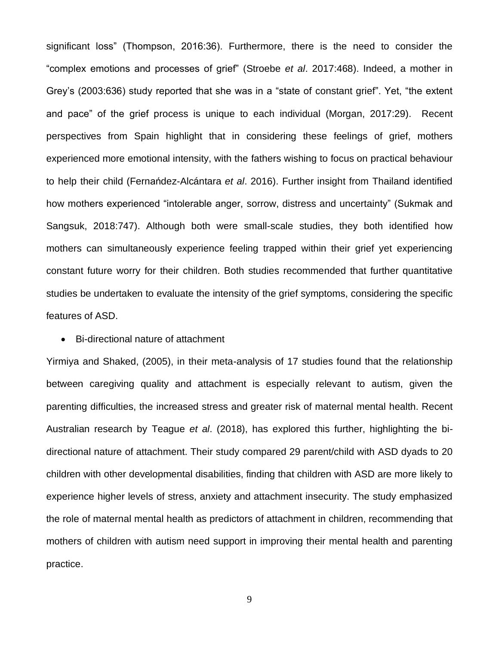significant loss" (Thompson, 2016:36). Furthermore, there is the need to consider the "complex emotions and processes of grief" (Stroebe *et al*. 2017:468). Indeed, a mother in Grey's (2003:636) study reported that she was in a "state of constant grief". Yet, "the extent and pace" of the grief process is unique to each individual (Morgan, 2017:29). Recent perspectives from Spain highlight that in considering these feelings of grief, mothers experienced more emotional intensity, with the fathers wishing to focus on practical behaviour to help their child (Fernańdez-Alcántara *et al*. 2016). Further insight from Thailand identified how mothers experienced "intolerable anger, sorrow, distress and uncertainty" (Sukmak and Sangsuk, 2018:747). Although both were small-scale studies, they both identified how mothers can simultaneously experience feeling trapped within their grief yet experiencing constant future worry for their children. Both studies recommended that further quantitative studies be undertaken to evaluate the intensity of the grief symptoms, considering the specific features of ASD.

#### • Bi-directional nature of attachment

Yirmiya and Shaked, (2005), in their meta-analysis of 17 studies found that the relationship between caregiving quality and attachment is especially relevant to autism, given the parenting difficulties, the increased stress and greater risk of maternal mental health. Recent Australian research by Teague *et al*. (2018), has explored this further, highlighting the bidirectional nature of attachment. Their study compared 29 parent/child with ASD dyads to 20 children with other developmental disabilities, finding that children with ASD are more likely to experience higher levels of stress, anxiety and attachment insecurity. The study emphasized the role of maternal mental health as predictors of attachment in children, recommending that mothers of children with autism need support in improving their mental health and parenting practice.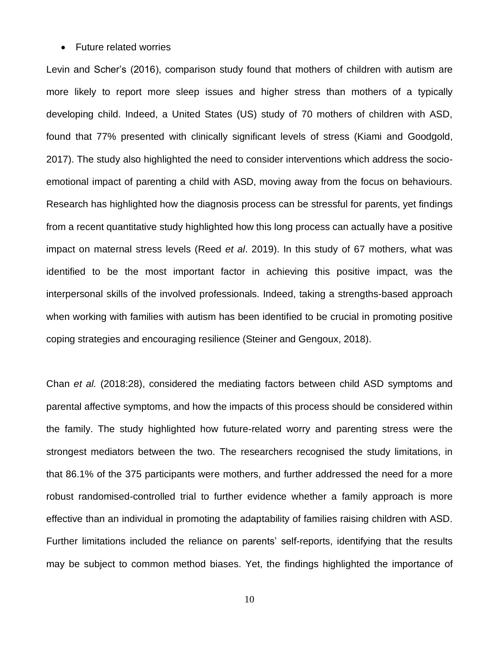#### • Future related worries

Levin and Scher's (2016), comparison study found that mothers of children with autism are more likely to report more sleep issues and higher stress than mothers of a typically developing child. Indeed, a United States (US) study of 70 mothers of children with ASD, found that 77% presented with clinically significant levels of stress (Kiami and Goodgold, 2017). The study also highlighted the need to consider interventions which address the socioemotional impact of parenting a child with ASD, moving away from the focus on behaviours. Research has highlighted how the diagnosis process can be stressful for parents, yet findings from a recent quantitative study highlighted how this long process can actually have a positive impact on maternal stress levels (Reed *et al*. 2019). In this study of 67 mothers, what was identified to be the most important factor in achieving this positive impact, was the interpersonal skills of the involved professionals. Indeed, taking a strengths-based approach when working with families with autism has been identified to be crucial in promoting positive coping strategies and encouraging resilience (Steiner and Gengoux, 2018).

Chan *et al.* (2018:28), considered the mediating factors between child ASD symptoms and parental affective symptoms, and how the impacts of this process should be considered within the family. The study highlighted how future-related worry and parenting stress were the strongest mediators between the two. The researchers recognised the study limitations, in that 86.1% of the 375 participants were mothers, and further addressed the need for a more robust randomised-controlled trial to further evidence whether a family approach is more effective than an individual in promoting the adaptability of families raising children with ASD. Further limitations included the reliance on parents' self-reports, identifying that the results may be subject to common method biases. Yet, the findings highlighted the importance of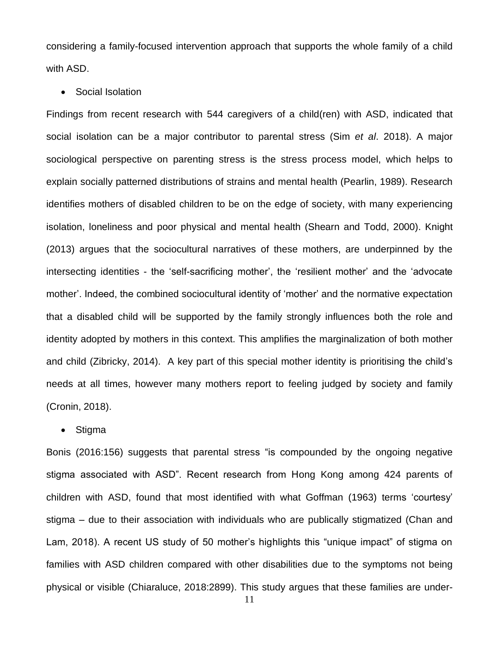considering a family-focused intervention approach that supports the whole family of a child with ASD.

#### • Social Isolation

Findings from recent research with 544 caregivers of a child(ren) with ASD, indicated that social isolation can be a major contributor to parental stress (Sim *et al*. 2018). A major sociological perspective on parenting stress is the stress process model, which helps to explain socially patterned distributions of strains and mental health (Pearlin, 1989). Research identifies mothers of disabled children to be on the edge of society, with many experiencing isolation, loneliness and poor physical and mental health (Shearn and Todd, 2000). Knight (2013) argues that the sociocultural narratives of these mothers, are underpinned by the intersecting identities - the 'self-sacrificing mother', the 'resilient mother' and the 'advocate mother'. Indeed, the combined sociocultural identity of 'mother' and the normative expectation that a disabled child will be supported by the family strongly influences both the role and identity adopted by mothers in this context. This amplifies the marginalization of both mother and child (Zibricky, 2014). A key part of this special mother identity is prioritising the child's needs at all times, however many mothers report to feeling judged by society and family (Cronin, 2018).

### • Stigma

Bonis (2016:156) suggests that parental stress "is compounded by the ongoing negative stigma associated with ASD". Recent research from Hong Kong among 424 parents of children with ASD, found that most identified with what Goffman (1963) terms 'courtesy' stigma – due to their association with individuals who are publically stigmatized (Chan and Lam, 2018). A recent US study of 50 mother's highlights this "unique impact" of stigma on families with ASD children compared with other disabilities due to the symptoms not being physical or visible (Chiaraluce, 2018:2899). This study argues that these families are under-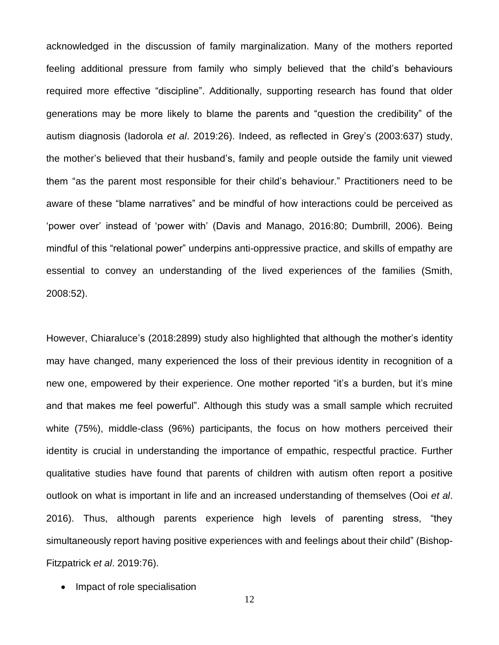acknowledged in the discussion of family marginalization. Many of the mothers reported feeling additional pressure from family who simply believed that the child's behaviours required more effective "discipline". Additionally, supporting research has found that older generations may be more likely to blame the parents and "question the credibility" of the autism diagnosis (Iadorola *et al*. 2019:26). Indeed, as reflected in Grey's (2003:637) study, the mother's believed that their husband's, family and people outside the family unit viewed them "as the parent most responsible for their child's behaviour." Practitioners need to be aware of these "blame narratives" and be mindful of how interactions could be perceived as 'power over' instead of 'power with' (Davis and Manago, 2016:80; Dumbrill, 2006). Being mindful of this "relational power" underpins anti-oppressive practice, and skills of empathy are essential to convey an understanding of the lived experiences of the families (Smith, 2008:52).

However, Chiaraluce's (2018:2899) study also highlighted that although the mother's identity may have changed, many experienced the loss of their previous identity in recognition of a new one, empowered by their experience. One mother reported "it's a burden, but it's mine and that makes me feel powerful". Although this study was a small sample which recruited white (75%), middle-class (96%) participants, the focus on how mothers perceived their identity is crucial in understanding the importance of empathic, respectful practice. Further qualitative studies have found that parents of children with autism often report a positive outlook on what is important in life and an increased understanding of themselves (Ooi *et al*. 2016). Thus, although parents experience high levels of parenting stress, "they simultaneously report having positive experiences with and feelings about their child" (Bishop-Fitzpatrick *et al*. 2019:76).

• Impact of role specialisation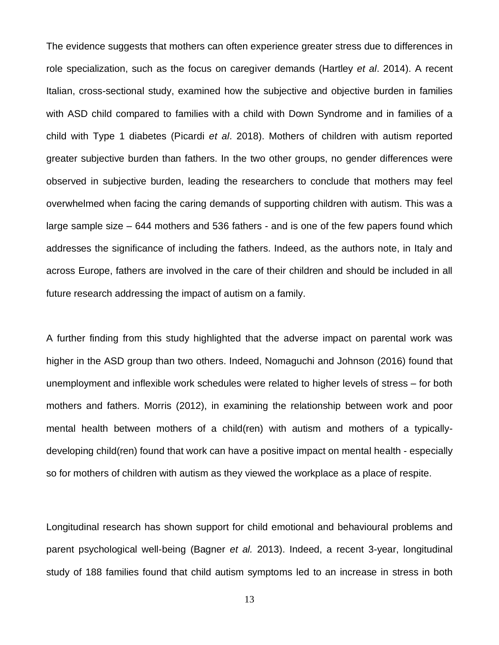The evidence suggests that mothers can often experience greater stress due to differences in role specialization, such as the focus on caregiver demands (Hartley *et al*. 2014). A recent Italian, cross-sectional study, examined how the subjective and objective burden in families with ASD child compared to families with a child with Down Syndrome and in families of a child with Type 1 diabetes (Picardi *et al*. 2018). Mothers of children with autism reported greater subjective burden than fathers. In the two other groups, no gender differences were observed in subjective burden, leading the researchers to conclude that mothers may feel overwhelmed when facing the caring demands of supporting children with autism. This was a large sample size – 644 mothers and 536 fathers - and is one of the few papers found which addresses the significance of including the fathers. Indeed, as the authors note, in Italy and across Europe, fathers are involved in the care of their children and should be included in all future research addressing the impact of autism on a family.

A further finding from this study highlighted that the adverse impact on parental work was higher in the ASD group than two others. Indeed, Nomaguchi and Johnson (2016) found that unemployment and inflexible work schedules were related to higher levels of stress – for both mothers and fathers. Morris (2012), in examining the relationship between work and poor mental health between mothers of a child(ren) with autism and mothers of a typicallydeveloping child(ren) found that work can have a positive impact on mental health - especially so for mothers of children with autism as they viewed the workplace as a place of respite.

Longitudinal research has shown support for child emotional and behavioural problems and parent psychological well-being (Bagner *et al.* 2013). Indeed, a recent 3-year, longitudinal study of 188 families found that child autism symptoms led to an increase in stress in both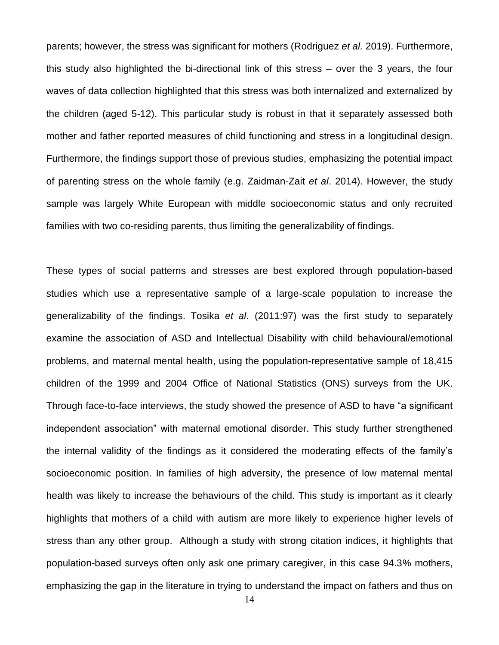parents; however, the stress was significant for mothers (Rodriguez *et al.* 2019). Furthermore, this study also highlighted the bi-directional link of this stress – over the 3 years, the four waves of data collection highlighted that this stress was both internalized and externalized by the children (aged 5-12). This particular study is robust in that it separately assessed both mother and father reported measures of child functioning and stress in a longitudinal design. Furthermore, the findings support those of previous studies, emphasizing the potential impact of parenting stress on the whole family (e.g. Zaidman-Zait *et al*. 2014). However, the study sample was largely White European with middle socioeconomic status and only recruited families with two co-residing parents, thus limiting the generalizability of findings.

These types of social patterns and stresses are best explored through population-based studies which use a representative sample of a large-scale population to increase the generalizability of the findings. Tosika *et al*. (2011:97) was the first study to separately examine the association of ASD and Intellectual Disability with child behavioural/emotional problems, and maternal mental health, using the population-representative sample of 18,415 children of the 1999 and 2004 Office of National Statistics (ONS) surveys from the UK. Through face-to-face interviews, the study showed the presence of ASD to have "a significant independent association" with maternal emotional disorder. This study further strengthened the internal validity of the findings as it considered the moderating effects of the family's socioeconomic position. In families of high adversity, the presence of low maternal mental health was likely to increase the behaviours of the child. This study is important as it clearly highlights that mothers of a child with autism are more likely to experience higher levels of stress than any other group. Although a study with strong citation indices, it highlights that population-based surveys often only ask one primary caregiver, in this case 94.3% mothers, emphasizing the gap in the literature in trying to understand the impact on fathers and thus on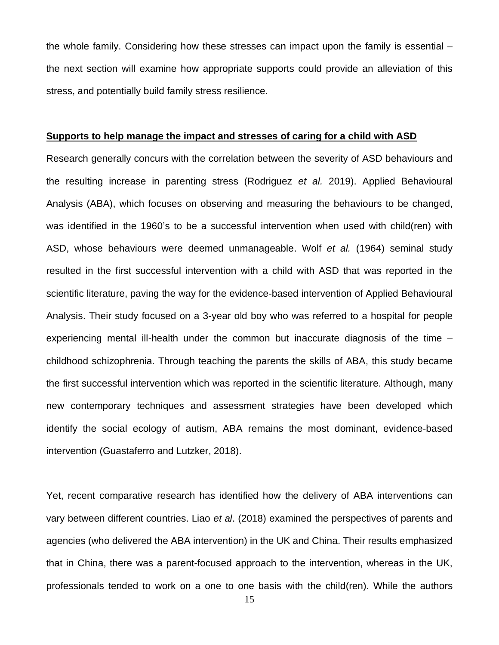the whole family. Considering how these stresses can impact upon the family is essential – the next section will examine how appropriate supports could provide an alleviation of this stress, and potentially build family stress resilience.

#### **Supports to help manage the impact and stresses of caring for a child with ASD**

Research generally concurs with the correlation between the severity of ASD behaviours and the resulting increase in parenting stress (Rodriguez *et al.* 2019). Applied Behavioural Analysis (ABA), which focuses on observing and measuring the behaviours to be changed, was identified in the 1960's to be a successful intervention when used with child(ren) with ASD, whose behaviours were deemed unmanageable. Wolf *et al.* (1964) seminal study resulted in the first successful intervention with a child with ASD that was reported in the scientific literature, paving the way for the evidence-based intervention of Applied Behavioural Analysis. Their study focused on a 3-year old boy who was referred to a hospital for people experiencing mental ill-health under the common but inaccurate diagnosis of the time – childhood schizophrenia. Through teaching the parents the skills of ABA, this study became the first successful intervention which was reported in the scientific literature. Although, many new contemporary techniques and assessment strategies have been developed which identify the social ecology of autism, ABA remains the most dominant, evidence-based intervention (Guastaferro and Lutzker, 2018).

Yet, recent comparative research has identified how the delivery of ABA interventions can vary between different countries. Liao *et al*. (2018) examined the perspectives of parents and agencies (who delivered the ABA intervention) in the UK and China. Their results emphasized that in China, there was a parent-focused approach to the intervention, whereas in the UK, professionals tended to work on a one to one basis with the child(ren). While the authors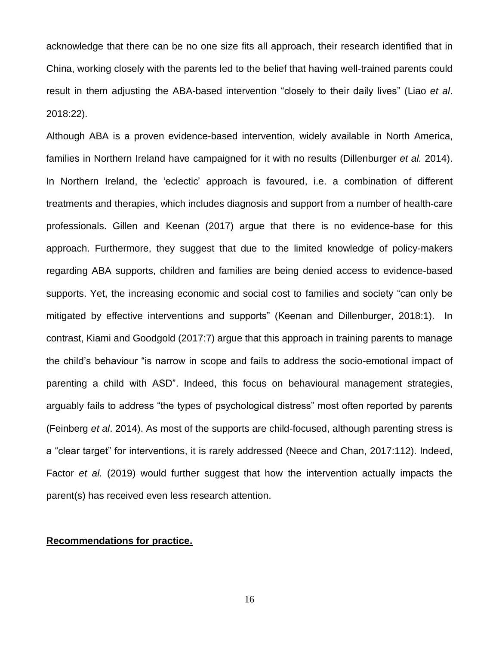acknowledge that there can be no one size fits all approach, their research identified that in China, working closely with the parents led to the belief that having well-trained parents could result in them adjusting the ABA-based intervention "closely to their daily lives" (Liao *et al*. 2018:22).

Although ABA is a proven evidence-based intervention, widely available in North America, families in Northern Ireland have campaigned for it with no results (Dillenburger *et al.* 2014). In Northern Ireland, the 'eclectic' approach is favoured, i.e. a combination of different treatments and therapies, which includes diagnosis and support from a number of health-care professionals. Gillen and Keenan (2017) argue that there is no evidence-base for this approach. Furthermore, they suggest that due to the limited knowledge of policy-makers regarding ABA supports, children and families are being denied access to evidence-based supports. Yet, the increasing economic and social cost to families and society "can only be mitigated by effective interventions and supports" (Keenan and Dillenburger, 2018:1). In contrast, Kiami and Goodgold (2017:7) argue that this approach in training parents to manage the child's behaviour "is narrow in scope and fails to address the socio-emotional impact of parenting a child with ASD". Indeed, this focus on behavioural management strategies, arguably fails to address "the types of psychological distress" most often reported by parents (Feinberg *et al*. 2014). As most of the supports are child-focused, although parenting stress is a "clear target" for interventions, it is rarely addressed (Neece and Chan, 2017:112). Indeed, Factor *et al.* (2019) would further suggest that how the intervention actually impacts the parent(s) has received even less research attention.

# **Recommendations for practice.**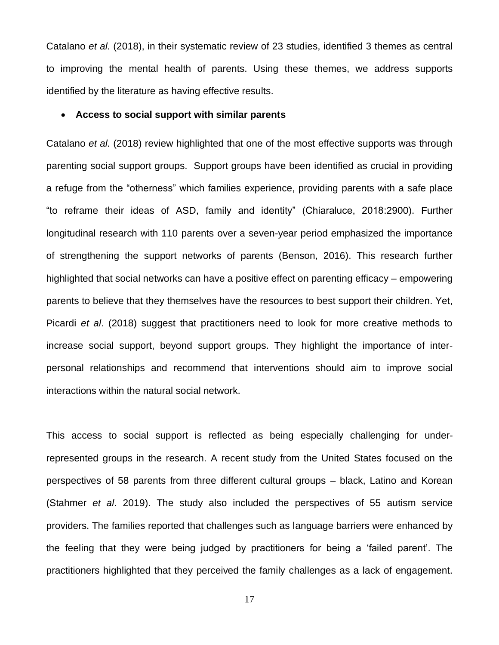Catalano *et al.* (2018), in their systematic review of 23 studies, identified 3 themes as central to improving the mental health of parents. Using these themes, we address supports identified by the literature as having effective results.

# • **Access to social support with similar parents**

Catalano *et al.* (2018) review highlighted that one of the most effective supports was through parenting social support groups. Support groups have been identified as crucial in providing a refuge from the "otherness" which families experience, providing parents with a safe place "to reframe their ideas of ASD, family and identity" (Chiaraluce, 2018:2900). Further longitudinal research with 110 parents over a seven-year period emphasized the importance of strengthening the support networks of parents (Benson, 2016). This research further highlighted that social networks can have a positive effect on parenting efficacy – empowering parents to believe that they themselves have the resources to best support their children. Yet, Picardi *et al*. (2018) suggest that practitioners need to look for more creative methods to increase social support, beyond support groups. They highlight the importance of interpersonal relationships and recommend that interventions should aim to improve social interactions within the natural social network.

This access to social support is reflected as being especially challenging for underrepresented groups in the research. A recent study from the United States focused on the perspectives of 58 parents from three different cultural groups – black, Latino and Korean (Stahmer *et al*. 2019). The study also included the perspectives of 55 autism service providers. The families reported that challenges such as language barriers were enhanced by the feeling that they were being judged by practitioners for being a 'failed parent'. The practitioners highlighted that they perceived the family challenges as a lack of engagement.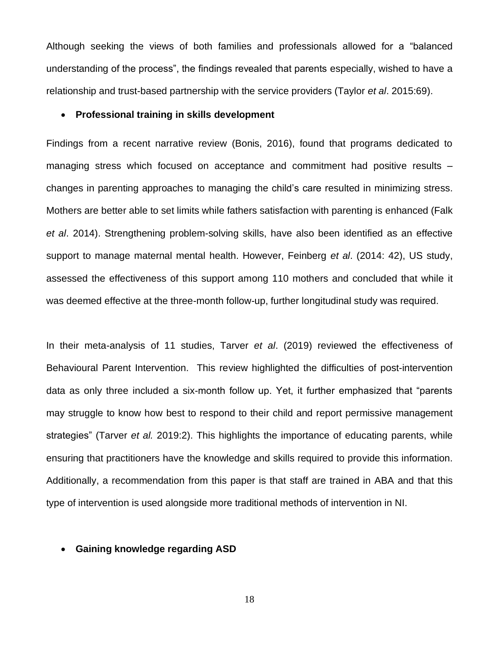Although seeking the views of both families and professionals allowed for a "balanced understanding of the process", the findings revealed that parents especially, wished to have a relationship and trust-based partnership with the service providers (Taylor *et al*. 2015:69).

# • **Professional training in skills development**

Findings from a recent narrative review (Bonis, 2016), found that programs dedicated to managing stress which focused on acceptance and commitment had positive results – changes in parenting approaches to managing the child's care resulted in minimizing stress. Mothers are better able to set limits while fathers satisfaction with parenting is enhanced (Falk *et al*. 2014). Strengthening problem-solving skills, have also been identified as an effective support to manage maternal mental health. However, Feinberg *et al*. (2014: 42), US study, assessed the effectiveness of this support among 110 mothers and concluded that while it was deemed effective at the three-month follow-up, further longitudinal study was required.

In their meta-analysis of 11 studies, Tarver *et al*. (2019) reviewed the effectiveness of Behavioural Parent Intervention. This review highlighted the difficulties of post-intervention data as only three included a six-month follow up. Yet, it further emphasized that "parents may struggle to know how best to respond to their child and report permissive management strategies" (Tarver *et al.* 2019:2). This highlights the importance of educating parents, while ensuring that practitioners have the knowledge and skills required to provide this information. Additionally, a recommendation from this paper is that staff are trained in ABA and that this type of intervention is used alongside more traditional methods of intervention in NI.

# • **Gaining knowledge regarding ASD**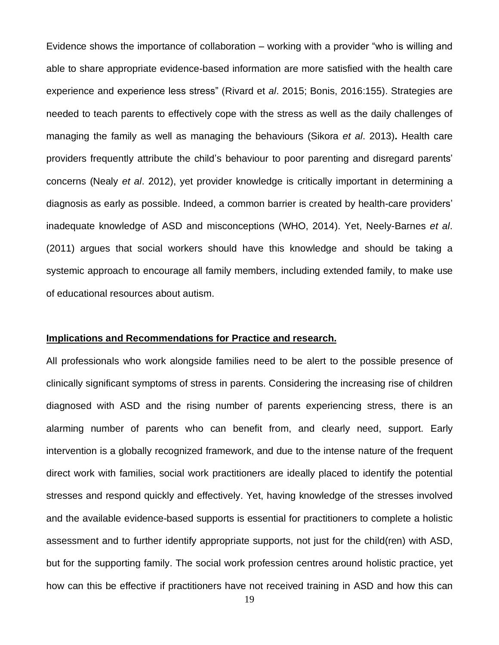Evidence shows the importance of collaboration – working with a provider "who is willing and able to share appropriate evidence-based information are more satisfied with the health care experience and experience less stress" (Rivard et *al*. 2015; Bonis, 2016:155). Strategies are needed to teach parents to effectively cope with the stress as well as the daily challenges of managing the family as well as managing the behaviours (Sikora *et al*. 2013)**.** Health care providers frequently attribute the child's behaviour to poor parenting and disregard parents' concerns (Nealy *et al*. 2012), yet provider knowledge is critically important in determining a diagnosis as early as possible. Indeed, a common barrier is created by health-care providers' inadequate knowledge of ASD and misconceptions (WHO, 2014). Yet, Neely-Barnes *et al*. (2011) argues that social workers should have this knowledge and should be taking a systemic approach to encourage all family members, including extended family, to make use of educational resources about autism.

### **Implications and Recommendations for Practice and research.**

All professionals who work alongside families need to be alert to the possible presence of clinically significant symptoms of stress in parents. Considering the increasing rise of children diagnosed with ASD and the rising number of parents experiencing stress, there is an alarming number of parents who can benefit from, and clearly need, support. Early intervention is a globally recognized framework, and due to the intense nature of the frequent direct work with families, social work practitioners are ideally placed to identify the potential stresses and respond quickly and effectively. Yet, having knowledge of the stresses involved and the available evidence-based supports is essential for practitioners to complete a holistic assessment and to further identify appropriate supports, not just for the child(ren) with ASD, but for the supporting family. The social work profession centres around holistic practice, yet how can this be effective if practitioners have not received training in ASD and how this can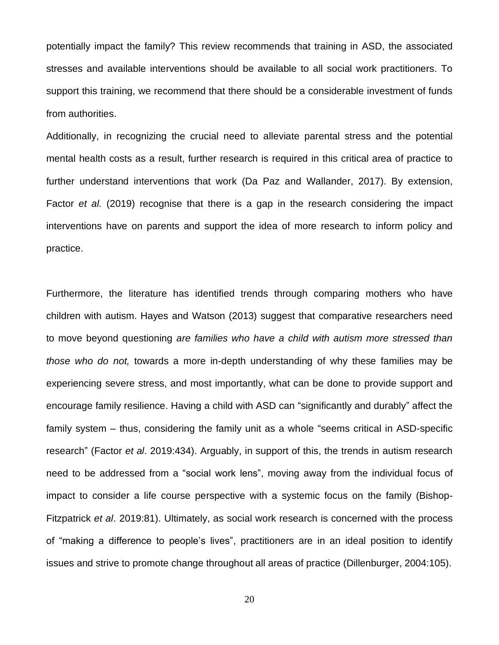potentially impact the family? This review recommends that training in ASD, the associated stresses and available interventions should be available to all social work practitioners. To support this training, we recommend that there should be a considerable investment of funds from authorities.

Additionally, in recognizing the crucial need to alleviate parental stress and the potential mental health costs as a result, further research is required in this critical area of practice to further understand interventions that work (Da Paz and Wallander, 2017). By extension, Factor *et al.* (2019) recognise that there is a gap in the research considering the impact interventions have on parents and support the idea of more research to inform policy and practice.

Furthermore, the literature has identified trends through comparing mothers who have children with autism. Hayes and Watson (2013) suggest that comparative researchers need to move beyond questioning *are families who have a child with autism more stressed than those who do not,* towards a more in-depth understanding of why these families may be experiencing severe stress, and most importantly, what can be done to provide support and encourage family resilience. Having a child with ASD can "significantly and durably" affect the family system – thus, considering the family unit as a whole "seems critical in ASD-specific research" (Factor *et al*. 2019:434). Arguably, in support of this, the trends in autism research need to be addressed from a "social work lens", moving away from the individual focus of impact to consider a life course perspective with a systemic focus on the family (Bishop-Fitzpatrick *et al*. 2019:81). Ultimately, as social work research is concerned with the process of "making a difference to people's lives", practitioners are in an ideal position to identify issues and strive to promote change throughout all areas of practice (Dillenburger, 2004:105).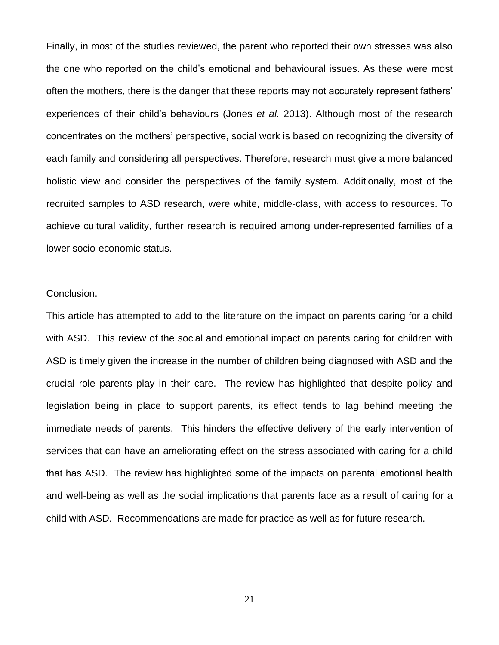Finally, in most of the studies reviewed, the parent who reported their own stresses was also the one who reported on the child's emotional and behavioural issues. As these were most often the mothers, there is the danger that these reports may not accurately represent fathers' experiences of their child's behaviours (Jones *et al.* 2013). Although most of the research concentrates on the mothers' perspective, social work is based on recognizing the diversity of each family and considering all perspectives. Therefore, research must give a more balanced holistic view and consider the perspectives of the family system. Additionally, most of the recruited samples to ASD research, were white, middle-class, with access to resources. To achieve cultural validity, further research is required among under-represented families of a lower socio-economic status.

# Conclusion.

This article has attempted to add to the literature on the impact on parents caring for a child with ASD. This review of the social and emotional impact on parents caring for children with ASD is timely given the increase in the number of children being diagnosed with ASD and the crucial role parents play in their care. The review has highlighted that despite policy and legislation being in place to support parents, its effect tends to lag behind meeting the immediate needs of parents. This hinders the effective delivery of the early intervention of services that can have an ameliorating effect on the stress associated with caring for a child that has ASD. The review has highlighted some of the impacts on parental emotional health and well-being as well as the social implications that parents face as a result of caring for a child with ASD. Recommendations are made for practice as well as for future research.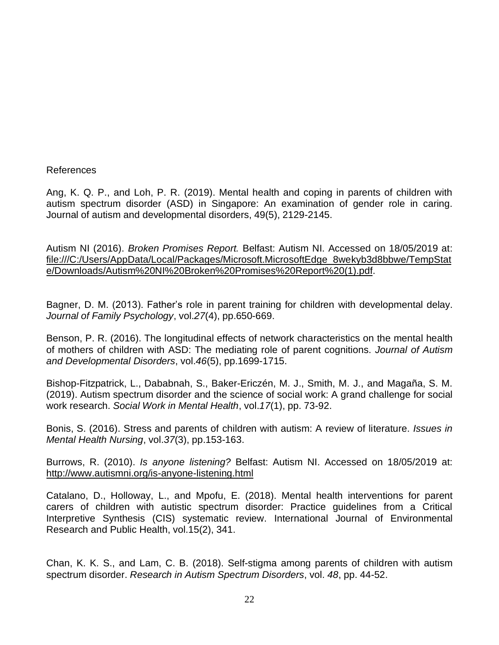# References

Ang, K. Q. P., and Loh, P. R. (2019). Mental health and coping in parents of children with autism spectrum disorder (ASD) in Singapore: An examination of gender role in caring. Journal of autism and developmental disorders, 49(5), 2129-2145.

Autism NI (2016). *Broken Promises Report.* Belfast: Autism NI. Accessed on 18/05/2019 at: [file:///C:/Users/AppData/Local/Packages/Microsoft.MicrosoftEdge\\_8wekyb3d8bbwe/TempStat](../../AppData/Local/Packages/Microsoft.MicrosoftEdge_8wekyb3d8bbwe/TempState/Downloads/Autism%20NI%20Broken%20Promises%20Report%20(1).pdf) [e/Downloads/Autism%20NI%20Broken%20Promises%20Report%20\(1\).pdf.](../../AppData/Local/Packages/Microsoft.MicrosoftEdge_8wekyb3d8bbwe/TempState/Downloads/Autism%20NI%20Broken%20Promises%20Report%20(1).pdf)

Bagner, D. M. (2013). Father's role in parent training for children with developmental delay. *Journal of Family Psychology*, vol.*27*(4), pp.650-669.

Benson, P. R. (2016). The longitudinal effects of network characteristics on the mental health of mothers of children with ASD: The mediating role of parent cognitions. *Journal of Autism and Developmental Disorders*, vol.*46*(5), pp.1699-1715.

Bishop-Fitzpatrick, L., Dababnah, S., Baker-Ericzén, M. J., Smith, M. J., and Magaña, S. M. (2019). Autism spectrum disorder and the science of social work: A grand challenge for social work research. *Social Work in Mental Health*, vol.*17*(1), pp. 73-92.

Bonis, S. (2016). Stress and parents of children with autism: A review of literature. *Issues in Mental Health Nursing*, vol.*37*(3), pp.153-163.

Burrows, R. (2010). *Is anyone listening?* Belfast: Autism NI. Accessed on 18/05/2019 at: <http://www.autismni.org/is-anyone-listening.html>

Catalano, D., Holloway, L., and Mpofu, E. (2018). Mental health interventions for parent carers of children with autistic spectrum disorder: Practice guidelines from a Critical Interpretive Synthesis (CIS) systematic review. International Journal of Environmental Research and Public Health, vol.15(2), 341.

Chan, K. K. S., and Lam, C. B. (2018). Self-stigma among parents of children with autism spectrum disorder. *Research in Autism Spectrum Disorders*, vol. *48*, pp. 44-52.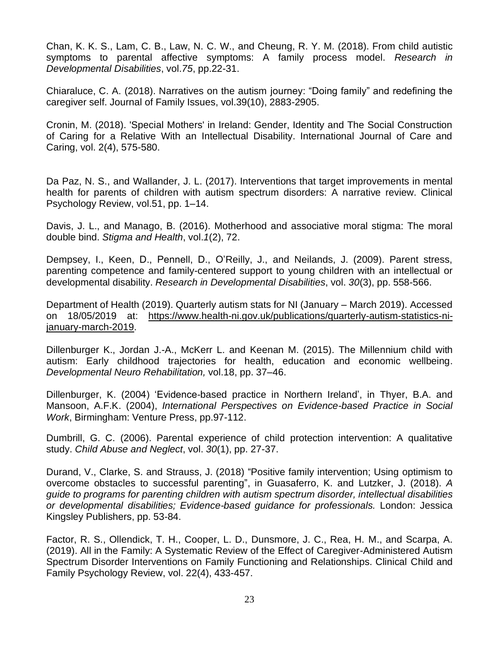Chan, K. K. S., Lam, C. B., Law, N. C. W., and Cheung, R. Y. M. (2018). From child autistic symptoms to parental affective symptoms: A family process model. *Research in Developmental Disabilities*, vol.*75*, pp.22-31.

Chiaraluce, C. A. (2018). Narratives on the autism journey: "Doing family" and redefining the caregiver self. Journal of Family Issues, vol.39(10), 2883-2905.

Cronin, M. (2018). 'Special Mothers' in Ireland: Gender, Identity and The Social Construction of Caring for a Relative With an Intellectual Disability. International Journal of Care and Caring, vol. 2(4), 575-580.

Da Paz, N. S., and Wallander, J. L. (2017). Interventions that target improvements in mental health for parents of children with autism spectrum disorders: A narrative review. Clinical Psychology Review, vol.51, pp. 1–14.

Davis, J. L., and Manago, B. (2016). Motherhood and associative moral stigma: The moral double bind. *Stigma and Health*, vol.*1*(2), 72.

Dempsey, I., Keen, D., Pennell, D., O'Reilly, J., and Neilands, J. (2009). Parent stress, parenting competence and family-centered support to young children with an intellectual or developmental disability. *Research in Developmental Disabilities*, vol. *30*(3), pp. 558-566.

Department of Health (2019). Quarterly autism stats for NI (January – March 2019). Accessed on 18/05/2019 at: [https://www.health-ni.gov.uk/publications/quarterly-autism-statistics-ni](https://www.health-ni.gov.uk/publications/quarterly-autism-statistics-ni-january-march-2019)[january-march-2019.](https://www.health-ni.gov.uk/publications/quarterly-autism-statistics-ni-january-march-2019)

Dillenburger K., Jordan J.-A., McKerr L. and Keenan M. (2015). The Millennium child with autism: Early childhood trajectories for health, education and economic wellbeing. *Developmental Neuro Rehabilitation,* vol.18, pp. 37–46.

Dillenburger, K. (2004) 'Evidence-based practice in Northern Ireland', in Thyer, B.A. and Mansoon, A.F.K. (2004), *International Perspectives on Evidence-based Practice in Social Work*, Birmingham: Venture Press, pp.97-112.

Dumbrill, G. C. (2006). Parental experience of child protection intervention: A qualitative study. *Child Abuse and Neglect*, vol. *30*(1), pp. 27-37.

Durand, V., Clarke, S. and Strauss, J. (2018) "Positive family intervention; Using optimism to overcome obstacles to successful parenting", in Guasaferro, K. and Lutzker, J. (2018). *A guide to programs for parenting children with autism spectrum disorder, intellectual disabilities or developmental disabilities; Evidence-based guidance for professionals.* London: Jessica Kingsley Publishers, pp. 53-84.

Factor, R. S., Ollendick, T. H., Cooper, L. D., Dunsmore, J. C., Rea, H. M., and Scarpa, A. (2019). All in the Family: A Systematic Review of the Effect of Caregiver-Administered Autism Spectrum Disorder Interventions on Family Functioning and Relationships. Clinical Child and Family Psychology Review, vol. 22(4), 433-457.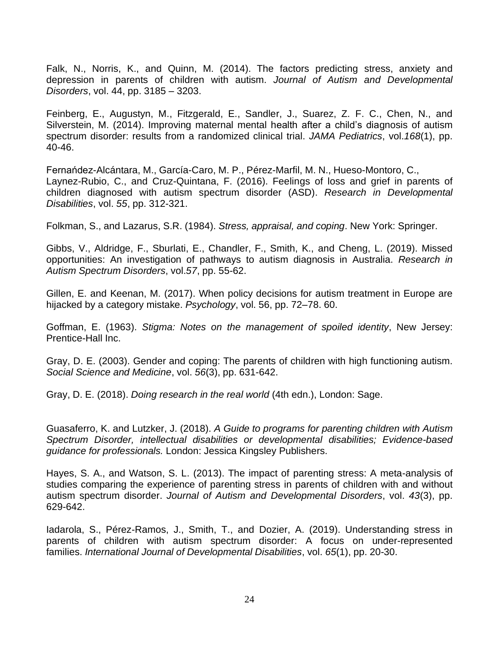Falk, N., Norris, K., and Quinn, M. (2014). The factors predicting stress, anxiety and depression in parents of children with autism. *Journal of Autism and Developmental Disorders*, vol. 44, pp. 3185 – 3203.

Feinberg, E., Augustyn, M., Fitzgerald, E., Sandler, J., Suarez, Z. F. C., Chen, N., and Silverstein, M. (2014). Improving maternal mental health after a child's diagnosis of autism spectrum disorder: results from a randomized clinical trial. *JAMA Pediatrics*, vol.*168*(1), pp. 40-46.

Fernańdez-Alcántara, M., García-Caro, M. P., Pérez-Marfil, M. N., Hueso-Montoro, C., Laynez-Rubio, C., and Cruz-Quintana, F. (2016). Feelings of loss and grief in parents of children diagnosed with autism spectrum disorder (ASD). *Research in Developmental Disabilities*, vol. *55*, pp. 312-321.

Folkman, S., and Lazarus, S.R. (1984). *Stress, appraisal, and coping*. New York: Springer.

Gibbs, V., Aldridge, F., Sburlati, E., Chandler, F., Smith, K., and Cheng, L. (2019). Missed opportunities: An investigation of pathways to autism diagnosis in Australia. *Research in Autism Spectrum Disorders*, vol.*57*, pp. 55-62.

Gillen, E. and Keenan, M. (2017). When policy decisions for autism treatment in Europe are hijacked by a category mistake. *Psychology*, vol. 56, pp. 72–78. 60.

Goffman, E. (1963). *Stigma: Notes on the management of spoiled identity*, New Jersey: Prentice-Hall Inc.

Gray, D. E. (2003). Gender and coping: The parents of children with high functioning autism. *Social Science and Medicine*, vol. *56*(3), pp. 631-642.

Gray, D. E. (2018). *Doing research in the real world* (4th edn.), London: Sage.

Guasaferro, K. and Lutzker, J. (2018). *A Guide to programs for parenting children with Autism Spectrum Disorder, intellectual disabilities or developmental disabilities; Evidence-based guidance for professionals.* London: Jessica Kingsley Publishers.

Hayes, S. A., and Watson, S. L. (2013). The impact of parenting stress: A meta-analysis of studies comparing the experience of parenting stress in parents of children with and without autism spectrum disorder. *Journal of Autism and Developmental Disorders*, vol. *43*(3), pp. 629-642.

Iadarola, S., Pérez-Ramos, J., Smith, T., and Dozier, A. (2019). Understanding stress in parents of children with autism spectrum disorder: A focus on under-represented families. *International Journal of Developmental Disabilities*, vol. *65*(1), pp. 20-30.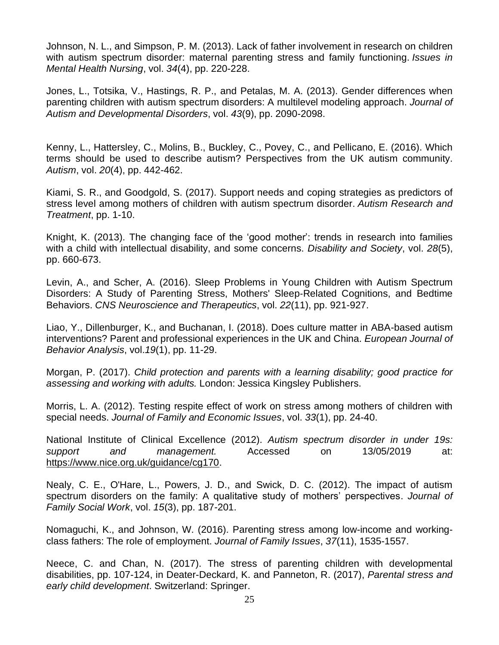Johnson, N. L., and Simpson, P. M. (2013). Lack of father involvement in research on children with autism spectrum disorder: maternal parenting stress and family functioning. *Issues in Mental Health Nursing*, vol. *34*(4), pp. 220-228.

Jones, L., Totsika, V., Hastings, R. P., and Petalas, M. A. (2013). Gender differences when parenting children with autism spectrum disorders: A multilevel modeling approach. *Journal of Autism and Developmental Disorders*, vol. *43*(9), pp. 2090-2098.

Kenny, L., Hattersley, C., Molins, B., Buckley, C., Povey, C., and Pellicano, E. (2016). Which terms should be used to describe autism? Perspectives from the UK autism community. *Autism*, vol. *20*(4), pp. 442-462.

Kiami, S. R., and Goodgold, S. (2017). Support needs and coping strategies as predictors of stress level among mothers of children with autism spectrum disorder. *Autism Research and Treatment*, pp. 1-10.

Knight, K. (2013). The changing face of the 'good mother': trends in research into families with a child with intellectual disability, and some concerns. *Disability and Society*, vol. *28*(5), pp. 660-673.

Levin, A., and Scher, A. (2016). Sleep Problems in Young Children with Autism Spectrum Disorders: A Study of Parenting Stress, Mothers' Sleep‐Related Cognitions, and Bedtime Behaviors. *CNS Neuroscience and Therapeutics*, vol. *22*(11), pp. 921-927.

Liao, Y., Dillenburger, K., and Buchanan, I. (2018). Does culture matter in ABA-based autism interventions? Parent and professional experiences in the UK and China. *European Journal of Behavior Analysis*, vol.*19*(1), pp. 11-29.

Morgan, P. (2017). *Child protection and parents with a learning disability; good practice for assessing and working with adults.* London: Jessica Kingsley Publishers.

Morris, L. A. (2012). Testing respite effect of work on stress among mothers of children with special needs. *Journal of Family and Economic Issues*, vol. *33*(1), pp. 24-40.

National Institute of Clinical Excellence (2012). *Autism spectrum disorder in under 19s: support and management.* Accessed on 13/05/2019 at: [https://www.nice.org.uk/guidance/cg170.](https://www.nice.org.uk/guidance/cg170)

Nealy, C. E., O'Hare, L., Powers, J. D., and Swick, D. C. (2012). The impact of autism spectrum disorders on the family: A qualitative study of mothers' perspectives. *Journal of Family Social Work*, vol. *15*(3), pp. 187-201.

Nomaguchi, K., and Johnson, W. (2016). Parenting stress among low-income and workingclass fathers: The role of employment. *Journal of Family Issues*, *37*(11), 1535-1557.

Neece, C. and Chan, N. (2017). The stress of parenting children with developmental disabilities, pp. 107-124, in Deater-Deckard, K. and Panneton, R. (2017), *Parental stress and early child development*. Switzerland: Springer.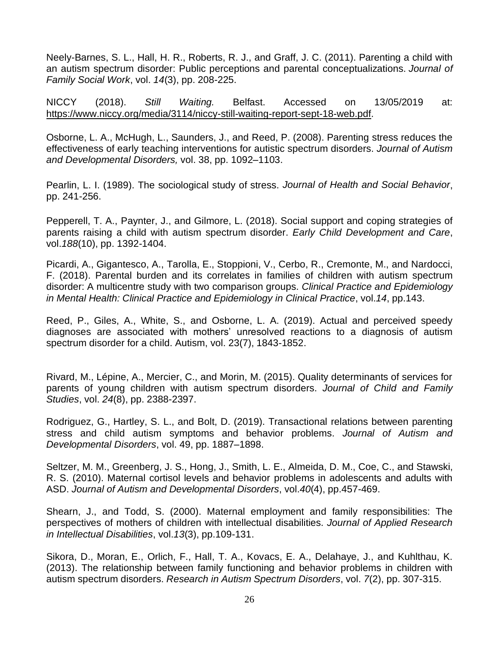Neely-Barnes, S. L., Hall, H. R., Roberts, R. J., and Graff, J. C. (2011). Parenting a child with an autism spectrum disorder: Public perceptions and parental conceptualizations. *Journal of Family Social Work*, vol. *14*(3), pp. 208-225.

NICCY (2018). *Still Waiting.* Belfast. Accessed on 13/05/2019 at: [https://www.niccy.org/media/3114/niccy-still-waiting-report-sept-18-web.pdf.](https://www.niccy.org/media/3114/niccy-still-waiting-report-sept-18-web.pdf)

Osborne, L. A., McHugh, L., Saunders, J., and Reed, P. (2008). Parenting stress reduces the effectiveness of early teaching interventions for autistic spectrum disorders. *Journal of Autism and Developmental Disorders,* vol. 38, pp. 1092–1103.

Pearlin, L. I. (1989). The sociological study of stress. *Journal of Health and Social Behavior*, pp. 241-256.

Pepperell, T. A., Paynter, J., and Gilmore, L. (2018). Social support and coping strategies of parents raising a child with autism spectrum disorder. *Early Child Development and Care*, vol.*188*(10), pp. 1392-1404.

Picardi, A., Gigantesco, A., Tarolla, E., Stoppioni, V., Cerbo, R., Cremonte, M., and Nardocci, F. (2018). Parental burden and its correlates in families of children with autism spectrum disorder: A multicentre study with two comparison groups. *Clinical Practice and Epidemiology in Mental Health: Clinical Practice and Epidemiology in Clinical Practice*, vol.*14*, pp.143.

Reed, P., Giles, A., White, S., and Osborne, L. A. (2019). Actual and perceived speedy diagnoses are associated with mothers' unresolved reactions to a diagnosis of autism spectrum disorder for a child. Autism, vol. 23(7), 1843-1852.

Rivard, M., Lépine, A., Mercier, C., and Morin, M. (2015). Quality determinants of services for parents of young children with autism spectrum disorders. *Journal of Child and Family Studies*, vol. *24*(8), pp. 2388-2397.

Rodriguez, G., Hartley, S. L., and Bolt, D. (2019). Transactional relations between parenting stress and child autism symptoms and behavior problems. *Journal of Autism and Developmental Disorders*, vol. 49, pp. 1887–1898.

Seltzer, M. M., Greenberg, J. S., Hong, J., Smith, L. E., Almeida, D. M., Coe, C., and Stawski, R. S. (2010). Maternal cortisol levels and behavior problems in adolescents and adults with ASD. *Journal of Autism and Developmental Disorders*, vol.*40*(4), pp.457-469.

Shearn, J., and Todd, S. (2000). Maternal employment and family responsibilities: The perspectives of mothers of children with intellectual disabilities. *Journal of Applied Research in Intellectual Disabilities*, vol.*13*(3), pp.109-131.

Sikora, D., Moran, E., Orlich, F., Hall, T. A., Kovacs, E. A., Delahaye, J., and Kuhlthau, K. (2013). The relationship between family functioning and behavior problems in children with autism spectrum disorders. *Research in Autism Spectrum Disorders*, vol. *7*(2), pp. 307-315.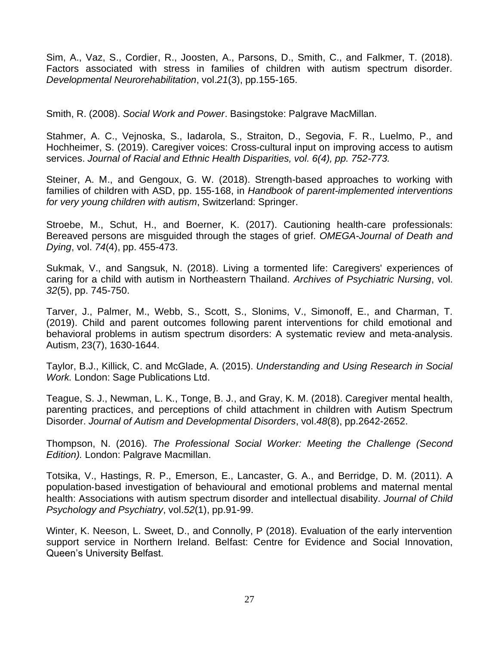Sim, A., Vaz, S., Cordier, R., Joosten, A., Parsons, D., Smith, C., and Falkmer, T. (2018). Factors associated with stress in families of children with autism spectrum disorder. *Developmental Neurorehabilitation*, vol.*21*(3), pp.155-165.

Smith, R. (2008). *Social Work and Power*. Basingstoke: Palgrave MacMillan.

Stahmer, A. C., Vejnoska, S., Iadarola, S., Straiton, D., Segovia, F. R., Luelmo, P., and Hochheimer, S. (2019). Caregiver voices: Cross-cultural input on improving access to autism services. *Journal of Racial and Ethnic Health Disparities, vol. 6(4), pp. 752-773.*

Steiner, A. M., and Gengoux, G. W. (2018). Strength-based approaches to working with families of children with ASD, pp. 155-168, in *Handbook of parent-implemented interventions for very young children with autism*, Switzerland: Springer.

Stroebe, M., Schut, H., and Boerner, K. (2017). Cautioning health-care professionals: Bereaved persons are misguided through the stages of grief. *OMEGA-Journal of Death and Dying*, vol. *74*(4), pp. 455-473.

Sukmak, V., and Sangsuk, N. (2018). Living a tormented life: Caregivers' experiences of caring for a child with autism in Northeastern Thailand. *Archives of Psychiatric Nursing*, vol. *32*(5), pp. 745-750.

Tarver, J., Palmer, M., Webb, S., Scott, S., Slonims, V., Simonoff, E., and Charman, T. (2019). Child and parent outcomes following parent interventions for child emotional and behavioral problems in autism spectrum disorders: A systematic review and meta-analysis. Autism, 23(7), 1630-1644.

Taylor, B.J., Killick, C. and McGlade, A. (2015). *Understanding and Using Research in Social Work.* London: Sage Publications Ltd.

Teague, S. J., Newman, L. K., Tonge, B. J., and Gray, K. M. (2018). Caregiver mental health, parenting practices, and perceptions of child attachment in children with Autism Spectrum Disorder. *Journal of Autism and Developmental Disorders*, vol.*48*(8), pp.2642-2652.

Thompson, N. (2016). *The Professional Social Worker: Meeting the Challenge (Second Edition).* London: Palgrave Macmillan.

Totsika, V., Hastings, R. P., Emerson, E., Lancaster, G. A., and Berridge, D. M. (2011). A population‐based investigation of behavioural and emotional problems and maternal mental health: Associations with autism spectrum disorder and intellectual disability. *Journal of Child Psychology and Psychiatry*, vol.*52*(1), pp.91-99.

Winter, K. Neeson, L. Sweet, D., and Connolly, P (2018). Evaluation of the early intervention support service in Northern Ireland. Belfast: Centre for Evidence and Social Innovation, Queen's University Belfast.